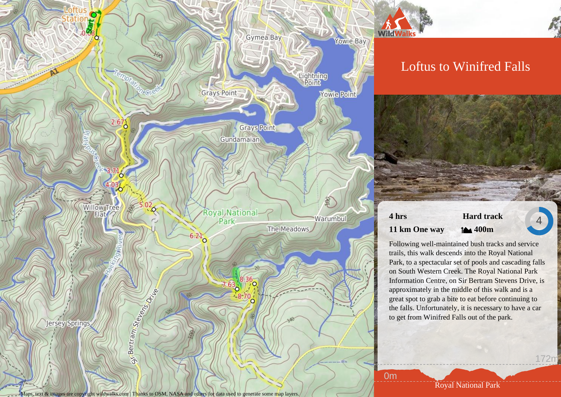

Maps, text & images are copyright wildwalks.com | Thanks to OSM, NASA and others for data used to generate some map layers.